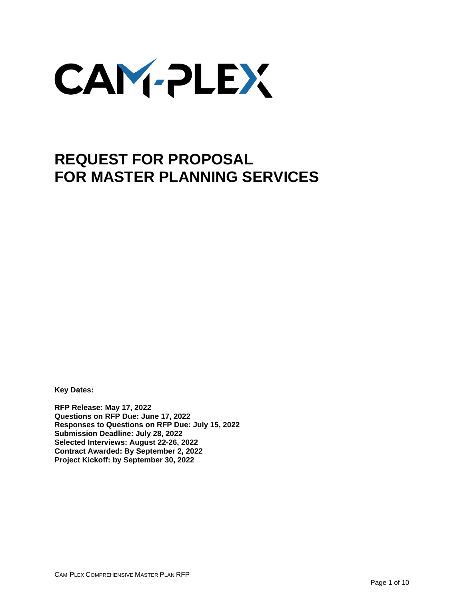

# **REQUEST FOR PROPOSAL FOR MASTER PLANNING SERVICES**

**Key Dates:**

**RFP Release: May 17, 2022 Questions on RFP Due: June 17, 2022 Responses to Questions on RFP Due: July 15, 2022 Submission Deadline: July 28, 2022 Selected Interviews: August 22-26, 2022 Contract Awarded: By September 2, 2022 Project Kickoff: by September 30, 2022**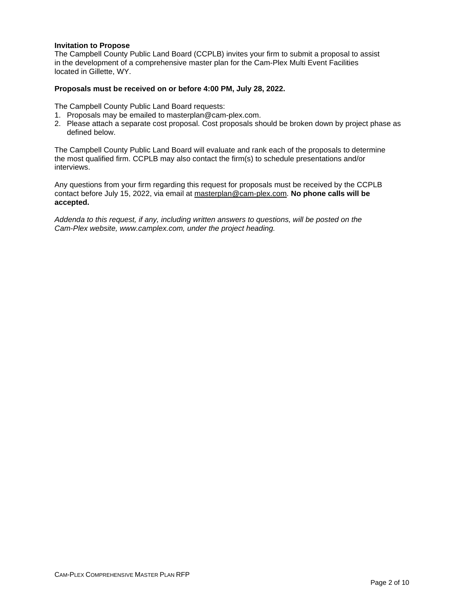# **Invitation to Propose**

The Campbell County Public Land Board (CCPLB) invites your firm to submit a proposal to assist in the development of a comprehensive master plan for the Cam-Plex Multi Event Facilities located in Gillette, WY.

# **Proposals must be received on or before 4:00 PM, July 28, 2022.**

The Campbell County Public Land Board requests:

- 1. Proposals may be emailed to masterplan@cam-plex.com.
- 2. Please attach a separate cost proposal. Cost proposals should be broken down by project phase as defined below.

The Campbell County Public Land Board will evaluate and rank each of the proposals to determine the most qualified firm. CCPLB may also contact the firm(s) to schedule presentations and/or interviews.

Any questions from your firm regarding this request for proposals must be received by the CCPLB contact before July 15, 2022, via email at masterplan@cam-plex.com. **No phone calls will be accepted.**

*Addenda to this request, if any, including written answers to questions, will be posted on the Cam-Plex website, www.camplex.com, under the project heading.*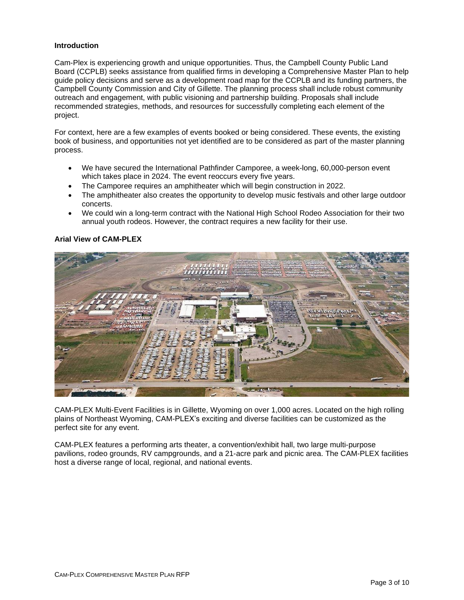# **Introduction**

Cam-Plex is experiencing growth and unique opportunities. Thus, the Campbell County Public Land Board (CCPLB) seeks assistance from qualified firms in developing a Comprehensive Master Plan to help guide policy decisions and serve as a development road map for the CCPLB and its funding partners, the Campbell County Commission and City of Gillette. The planning process shall include robust community outreach and engagement, with public visioning and partnership building. Proposals shall include recommended strategies, methods, and resources for successfully completing each element of the project.

For context, here are a few examples of events booked or being considered. These events, the existing book of business, and opportunities not yet identified are to be considered as part of the master planning process.

- We have secured the International Pathfinder Camporee, a week-long, 60,000-person event which takes place in 2024. The event reoccurs every five years.
- The Camporee requires an amphitheater which will begin construction in 2022.
- The amphitheater also creates the opportunity to develop music festivals and other large outdoor concerts.
- We could win a long-term contract with the National High School Rodeo Association for their two annual youth rodeos. However, the contract requires a new facility for their use.

# **Arial View of CAM-PLEX**



CAM-PLEX Multi-Event Facilities is in Gillette, Wyoming on over 1,000 acres. Located on the high rolling plains of Northeast Wyoming, CAM-PLEX's exciting and diverse facilities can be customized as the perfect site for any event.

CAM-PLEX features a performing arts theater, a convention/exhibit hall, two large multi-purpose pavilions, rodeo grounds, RV campgrounds, and a 21-acre park and picnic area. The CAM-PLEX facilities host a diverse range of local, regional, and national events.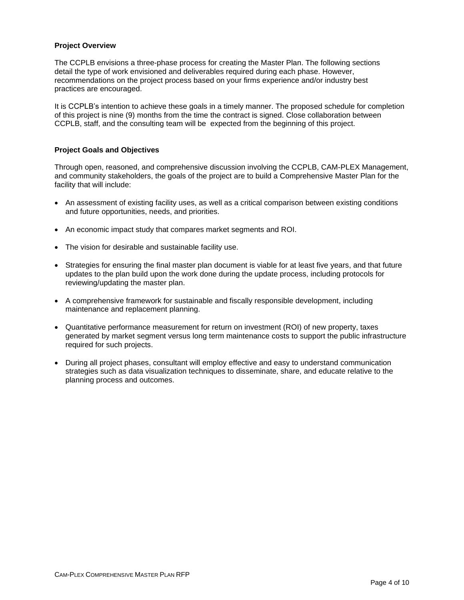# **Project Overview**

The CCPLB envisions a three-phase process for creating the Master Plan. The following sections detail the type of work envisioned and deliverables required during each phase. However, recommendations on the project process based on your firms experience and/or industry best practices are encouraged.

It is CCPLB's intention to achieve these goals in a timely manner. The proposed schedule for completion of this project is nine (9) months from the time the contract is signed. Close collaboration between CCPLB, staff, and the consulting team will be expected from the beginning of this project.

# **Project Goals and Objectives**

Through open, reasoned, and comprehensive discussion involving the CCPLB, CAM-PLEX Management, and community stakeholders, the goals of the project are to build a Comprehensive Master Plan for the facility that will include:

- An assessment of existing facility uses, as well as a critical comparison between existing conditions and future opportunities, needs, and priorities.
- An economic impact study that compares market segments and ROI.
- The vision for desirable and sustainable facility use.
- Strategies for ensuring the final master plan document is viable for at least five years, and that future updates to the plan build upon the work done during the update process, including protocols for reviewing/updating the master plan.
- A comprehensive framework for sustainable and fiscally responsible development, including maintenance and replacement planning.
- Quantitative performance measurement for return on investment (ROI) of new property, taxes generated by market segment versus long term maintenance costs to support the public infrastructure required for such projects.
- During all project phases, consultant will employ effective and easy to understand communication strategies such as data visualization techniques to disseminate, share, and educate relative to the planning process and outcomes.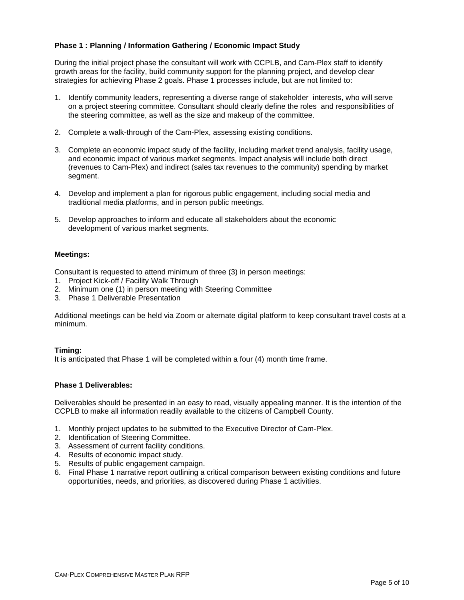# **Phase 1 : Planning / Information Gathering / Economic Impact Study**

During the initial project phase the consultant will work with CCPLB, and Cam-Plex staff to identify growth areas for the facility, build community support for the planning project, and develop clear strategies for achieving Phase 2 goals. Phase 1 processes include, but are not limited to:

- 1. Identify community leaders, representing a diverse range of stakeholder interests, who will serve on a project steering committee. Consultant should clearly define the roles and responsibilities of the steering committee, as well as the size and makeup of the committee.
- 2. Complete a walk-through of the Cam-Plex, assessing existing conditions.
- 3. Complete an economic impact study of the facility, including market trend analysis, facility usage, and economic impact of various market segments. Impact analysis will include both direct (revenues to Cam-Plex) and indirect (sales tax revenues to the community) spending by market segment.
- 4. Develop and implement a plan for rigorous public engagement, including social media and traditional media platforms, and in person public meetings.
- 5. Develop approaches to inform and educate all stakeholders about the economic development of various market segments.

# **Meetings:**

Consultant is requested to attend minimum of three (3) in person meetings:

- 1. Project Kick-off / Facility Walk Through
- 2. Minimum one (1) in person meeting with Steering Committee
- 3. Phase 1 Deliverable Presentation

Additional meetings can be held via Zoom or alternate digital platform to keep consultant travel costs at a minimum.

# **Timing:**

It is anticipated that Phase 1 will be completed within a four (4) month time frame.

# **Phase 1 Deliverables:**

Deliverables should be presented in an easy to read, visually appealing manner. It is the intention of the CCPLB to make all information readily available to the citizens of Campbell County.

- 1. Monthly project updates to be submitted to the Executive Director of Cam-Plex.
- 2. Identification of Steering Committee.
- 3. Assessment of current facility conditions.
- 4. Results of economic impact study.
- 5. Results of public engagement campaign.
- 6. Final Phase 1 narrative report outlining a critical comparison between existing conditions and future opportunities, needs, and priorities, as discovered during Phase 1 activities.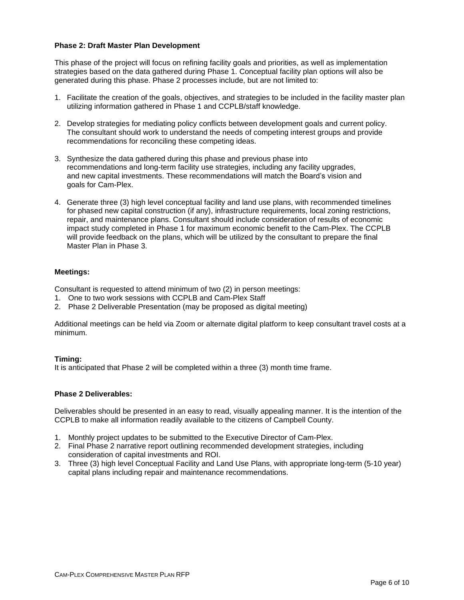# **Phase 2: Draft Master Plan Development**

This phase of the project will focus on refining facility goals and priorities, as well as implementation strategies based on the data gathered during Phase 1. Conceptual facility plan options will also be generated during this phase. Phase 2 processes include, but are not limited to:

- 1. Facilitate the creation of the goals, objectives, and strategies to be included in the facility master plan utilizing information gathered in Phase 1 and CCPLB/staff knowledge.
- 2. Develop strategies for mediating policy conflicts between development goals and current policy. The consultant should work to understand the needs of competing interest groups and provide recommendations for reconciling these competing ideas.
- 3. Synthesize the data gathered during this phase and previous phase into recommendations and long-term facility use strategies, including any facility upgrades, and new capital investments. These recommendations will match the Board's vision and goals for Cam-Plex.
- 4. Generate three (3) high level conceptual facility and land use plans, with recommended timelines for phased new capital construction (if any), infrastructure requirements, local zoning restrictions, repair, and maintenance plans. Consultant should include consideration of results of economic impact study completed in Phase 1 for maximum economic benefit to the Cam-Plex. The CCPLB will provide feedback on the plans, which will be utilized by the consultant to prepare the final Master Plan in Phase 3.

# **Meetings:**

Consultant is requested to attend minimum of two (2) in person meetings:

- 1. One to two work sessions with CCPLB and Cam-Plex Staff
- 2. Phase 2 Deliverable Presentation (may be proposed as digital meeting)

Additional meetings can be held via Zoom or alternate digital platform to keep consultant travel costs at a minimum.

# **Timing:**

It is anticipated that Phase 2 will be completed within a three (3) month time frame.

# **Phase 2 Deliverables:**

Deliverables should be presented in an easy to read, visually appealing manner. It is the intention of the CCPLB to make all information readily available to the citizens of Campbell County.

- 1. Monthly project updates to be submitted to the Executive Director of Cam-Plex.
- 2. Final Phase 2 narrative report outlining recommended development strategies, including consideration of capital investments and ROI.
- 3. Three (3) high level Conceptual Facility and Land Use Plans, with appropriate long-term (5-10 year) capital plans including repair and maintenance recommendations.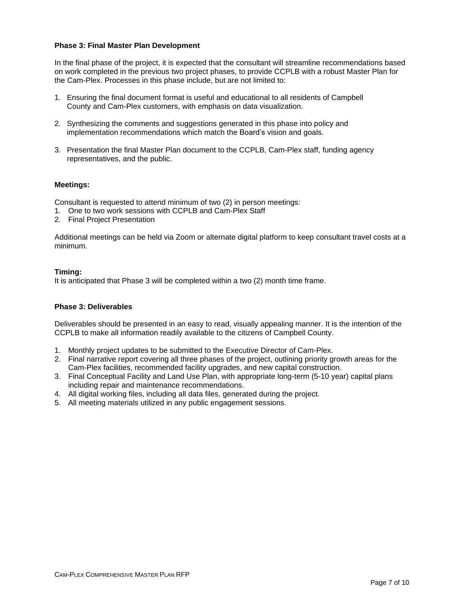# **Phase 3: Final Master Plan Development**

In the final phase of the project, it is expected that the consultant will streamline recommendations based on work completed in the previous two project phases, to provide CCPLB with a robust Master Plan for the Cam-Plex. Processes in this phase include, but are not limited to:

- 1. Ensuring the final document format is useful and educational to all residents of Campbell County and Cam-Plex customers, with emphasis on data visualization.
- 2. Synthesizing the comments and suggestions generated in this phase into policy and implementation recommendations which match the Board's vision and goals.
- 3. Presentation the final Master Plan document to the CCPLB, Cam-Plex staff, funding agency representatives, and the public.

#### **Meetings:**

Consultant is requested to attend minimum of two (2) in person meetings:

- 1. One to two work sessions with CCPLB and Cam-Plex Staff
- 2. Final Project Presentation

Additional meetings can be held via Zoom or alternate digital platform to keep consultant travel costs at a minimum.

#### **Timing:**

It is anticipated that Phase 3 will be completed within a two (2) month time frame.

#### **Phase 3: Deliverables**

Deliverables should be presented in an easy to read, visually appealing manner. It is the intention of the CCPLB to make all information readily available to the citizens of Campbell County.

- 1. Monthly project updates to be submitted to the Executive Director of Cam-Plex.
- 2. Final narrative report covering all three phases of the project, outlining priority growth areas for the Cam-Plex facilities, recommended facility upgrades, and new capital construction.
- 3. Final Conceptual Facility and Land Use Plan, with appropriate long-term (5-10 year) capital plans including repair and maintenance recommendations.
- 4. All digital working files, including all data files, generated during the project.
- 5. All meeting materials utilized in any public engagement sessions.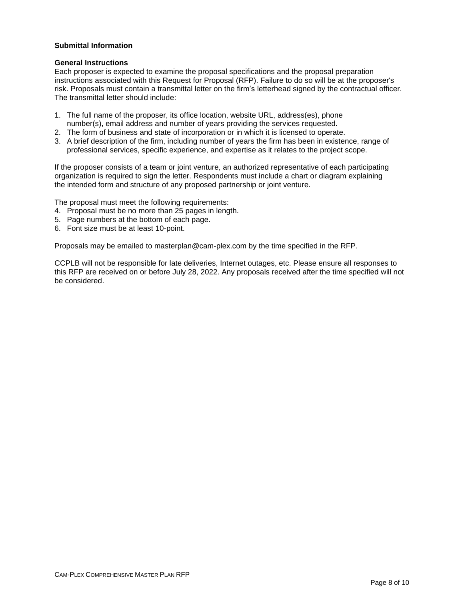# **Submittal Information**

# **General Instructions**

Each proposer is expected to examine the proposal specifications and the proposal preparation instructions associated with this Request for Proposal (RFP). Failure to do so will be at the proposer's risk. Proposals must contain a transmittal letter on the firm's letterhead signed by the contractual officer. The transmittal letter should include:

- 1. The full name of the proposer, its office location, website URL, address(es), phone number(s), email address and number of years providing the services requested.
- 2. The form of business and state of incorporation or in which it is licensed to operate.
- 3. A brief description of the firm, including number of years the firm has been in existence, range of professional services, specific experience, and expertise as it relates to the project scope.

If the proposer consists of a team or joint venture, an authorized representative of each participating organization is required to sign the letter. Respondents must include a chart or diagram explaining the intended form and structure of any proposed partnership or joint venture.

The proposal must meet the following requirements:

- 4. Proposal must be no more than 25 pages in length.
- 5. Page numbers at the bottom of each page.
- 6. Font size must be at least 10-point.

Proposals may be emailed to masterplan@cam-plex.com by the time specified in the RFP.

CCPLB will not be responsible for late deliveries, Internet outages, etc. Please ensure all responses to this RFP are received on or before July 28, 2022. Any proposals received after the time specified will not be considered.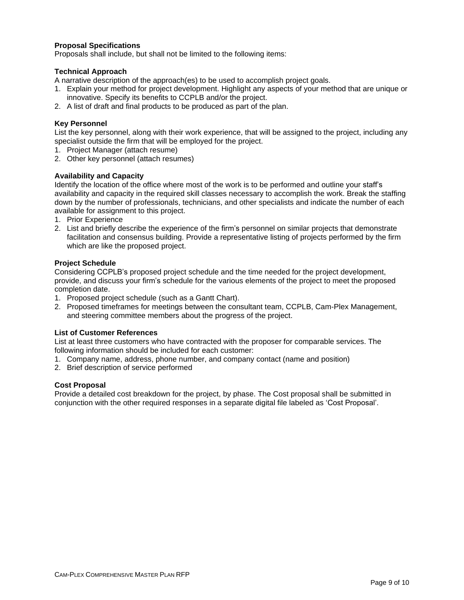# **Proposal Specifications**

Proposals shall include, but shall not be limited to the following items:

# **Technical Approach**

A narrative description of the approach(es) to be used to accomplish project goals.

- 1. Explain your method for project development. Highlight any aspects of your method that are unique or innovative. Specify its benefits to CCPLB and/or the project.
- 2. A list of draft and final products to be produced as part of the plan.

# **Key Personnel**

List the key personnel, along with their work experience, that will be assigned to the project, including any specialist outside the firm that will be employed for the project.

- 1. Project Manager (attach resume)
- 2. Other key personnel (attach resumes)

# **Availability and Capacity**

Identify the location of the office where most of the work is to be performed and outline your staff's availability and capacity in the required skill classes necessary to accomplish the work. Break the staffing down by the number of professionals, technicians, and other specialists and indicate the number of each available for assignment to this project.

- 1. Prior Experience
- 2. List and briefly describe the experience of the firm's personnel on similar projects that demonstrate facilitation and consensus building. Provide a representative listing of projects performed by the firm which are like the proposed project.

# **Project Schedule**

Considering CCPLB's proposed project schedule and the time needed for the project development, provide, and discuss your firm's schedule for the various elements of the project to meet the proposed completion date.

- 1. Proposed project schedule (such as a Gantt Chart).
- 2. Proposed timeframes for meetings between the consultant team, CCPLB, Cam-Plex Management, and steering committee members about the progress of the project.

# **List of Customer References**

List at least three customers who have contracted with the proposer for comparable services. The following information should be included for each customer:

- 1. Company name, address, phone number, and company contact (name and position)
- 2. Brief description of service performed

# **Cost Proposal**

Provide a detailed cost breakdown for the project, by phase. The Cost proposal shall be submitted in conjunction with the other required responses in a separate digital file labeled as 'Cost Proposal'.